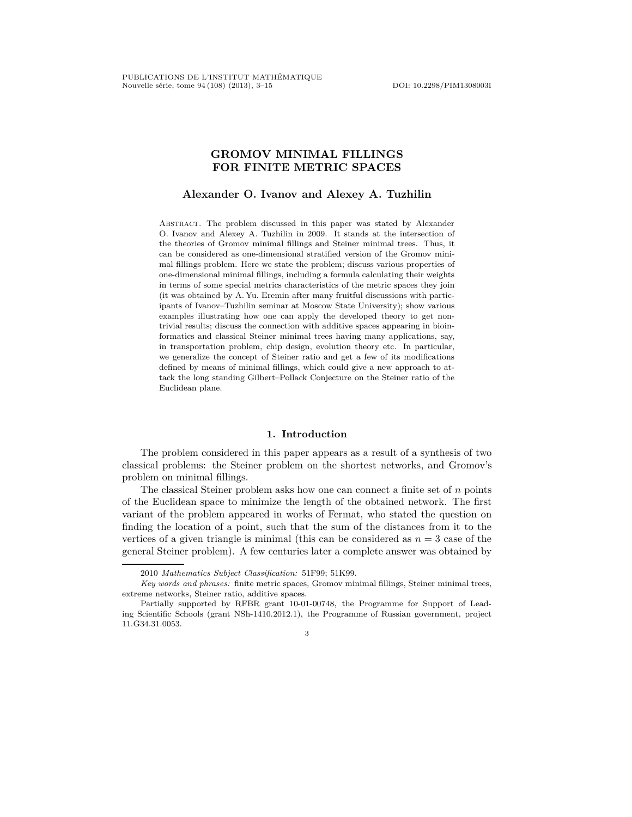# **GROMOV MINIMAL FILLINGS FOR FINITE METRIC SPACES**

# **Alexander O. Ivanov and Alexey A. Tuzhilin**

Abstract. The problem discussed in this paper was stated by Alexander O. Ivanov and Alexey A. Tuzhilin in 2009. It stands at the intersection of the theories of Gromov minimal fillings and Steiner minimal trees. Thus, it can be considered as one-dimensional stratified version of the Gromov minimal fillings problem. Here we state the problem; discuss various properties of one-dimensional minimal fillings, including a formula calculating their weights in terms of some special metrics characteristics of the metric spaces they join (it was obtained by A. Yu. Eremin after many fruitful discussions with participants of Ivanov–Tuzhilin seminar at Moscow State University); show various examples illustrating how one can apply the developed theory to get nontrivial results; discuss the connection with additive spaces appearing in bioinformatics and classical Steiner minimal trees having many applications, say, in transportation problem, chip design, evolution theory etc. In particular, we generalize the concept of Steiner ratio and get a few of its modifications defined by means of minimal fillings, which could give a new approach to attack the long standing Gilbert–Pollack Conjecture on the Steiner ratio of the Euclidean plane.

#### **1. Introduction**

The problem considered in this paper appears as a result of a synthesis of two classical problems: the Steiner problem on the shortest networks, and Gromov's problem on minimal fillings.

The classical Steiner problem asks how one can connect a finite set of *n* points of the Euclidean space to minimize the length of the obtained network. The first variant of the problem appeared in works of Fermat, who stated the question on finding the location of a point, such that the sum of the distances from it to the vertices of a given triangle is minimal (this can be considered as *n* = 3 case of the general Steiner problem). A few centuries later a complete answer was obtained by

<sup>2010</sup> *Mathematics Subject Classification:* 51F99; 51K99.

*Key words and phrases:* finite metric spaces, Gromov minimal fillings, Steiner minimal trees, extreme networks, Steiner ratio, additive spaces.

Partially supported by RFBR grant 10-01-00748, the Programme for Support of Leading Scientific Schools (grant NSh-1410.2012.1), the Programme of Russian government, project 11.G34.31.0053.

<sup>3</sup>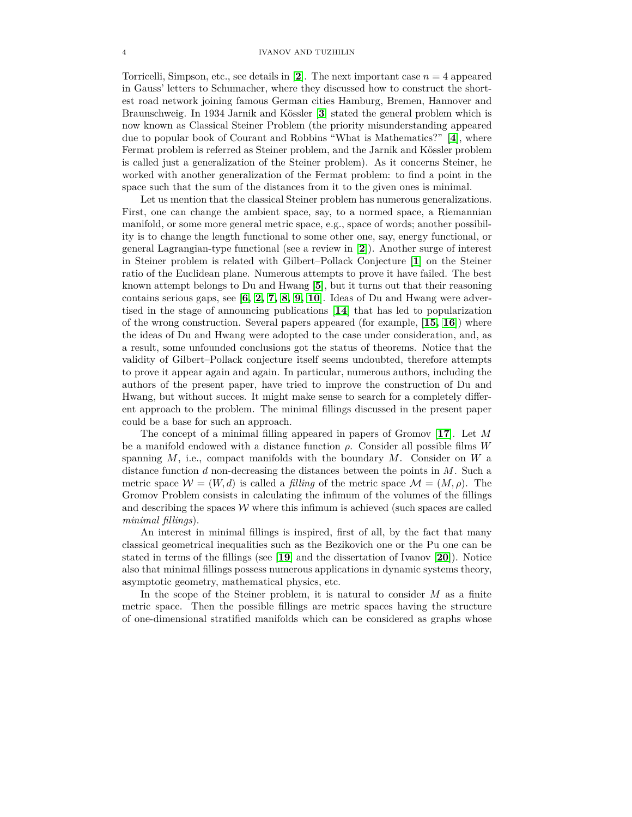#### 4 IVANOV AND TUZHILIN

Torricelli, Simpson, etc., see details in  $[2]$  $[2]$  $[2]$ . The next important case  $n = 4$  appeared in Gauss' letters to Schumacher, where they discussed how to construct the shortest road network joining famous German cities Hamburg, Bremen, Hannover and Braunschweig. In 1934 Jarnik and Kössler [**[3](#page-11-1)**] stated the general problem which is now known as Classical Steiner Problem (the priority misunderstanding appeared due to popular book of Courant and Robbins "What is Mathematics?" [**[4](#page-11-2)**], where Fermat problem is referred as Steiner problem, and the Jarnik and Kössler problem is called just a generalization of the Steiner problem). As it concerns Steiner, he worked with another generalization of the Fermat problem: to find a point in the space such that the sum of the distances from it to the given ones is minimal.

Let us mention that the classical Steiner problem has numerous generalizations. First, one can change the ambient space, say, to a normed space, a Riemannian manifold, or some more general metric space, e.g., space of words; another possibility is to change the length functional to some other one, say, energy functional, or general Lagrangian-type functional (see a review in [**[2](#page-11-0)**]). Another surge of interest in Steiner problem is related with Gilbert–Pollack Conjecture [**[1](#page-11-3)**] on the Steiner ratio of the Euclidean plane. Numerous attempts to prove it have failed. The best known attempt belongs to Du and Hwang [**[5](#page-11-4)**], but it turns out that their reasoning contains serious gaps, see [**[6,](#page-11-5) [2,](#page-11-0) [7,](#page-11-6) [8,](#page-11-7) [9,](#page-11-8) [10](#page-11-9)**]. Ideas of Du and Hwang were advertised in the stage of announcing publications [**[14](#page-11-10)**] that has led to popularization of the wrong construction. Several papers appeared (for example, [**[15,](#page-11-11) [16](#page-11-12)**]) where the ideas of Du and Hwang were adopted to the case under consideration, and, as a result, some unfounded conclusions got the status of theorems. Notice that the validity of Gilbert–Pollack conjecture itself seems undoubted, therefore attempts to prove it appear again and again. In particular, numerous authors, including the authors of the present paper, have tried to improve the construction of Du and Hwang, but without succes. It might make sense to search for a completely different approach to the problem. The minimal fillings discussed in the present paper could be a base for such an approach.

The concept of a minimal filling appeared in papers of Gromov [**[17](#page-11-13)**]. Let *M* be a manifold endowed with a distance function *ρ*. Consider all possible films *W* spanning *M*, i.e., compact manifolds with the boundary *M*. Consider on *W* a distance function *d* non-decreasing the distances between the points in *M*. Such a metric space  $W = (W, d)$  is called a *filling* of the metric space  $\mathcal{M} = (M, \rho)$ . The Gromov Problem consists in calculating the infimum of the volumes of the fillings and describing the spaces  $\mathcal W$  where this infimum is achieved (such spaces are called *minimal fillings*).

An interest in minimal fillings is inspired, first of all, by the fact that many classical geometrical inequalities such as the Bezikovich one or the Pu one can be stated in terms of the fillings (see [**[19](#page-12-0)**] and the dissertation of Ivanov [**[20](#page-12-1)**]). Notice also that minimal fillings possess numerous applications in dynamic systems theory, asymptotic geometry, mathematical physics, etc.

In the scope of the Steiner problem, it is natural to consider *M* as a finite metric space. Then the possible fillings are metric spaces having the structure of one-dimensional stratified manifolds which can be considered as graphs whose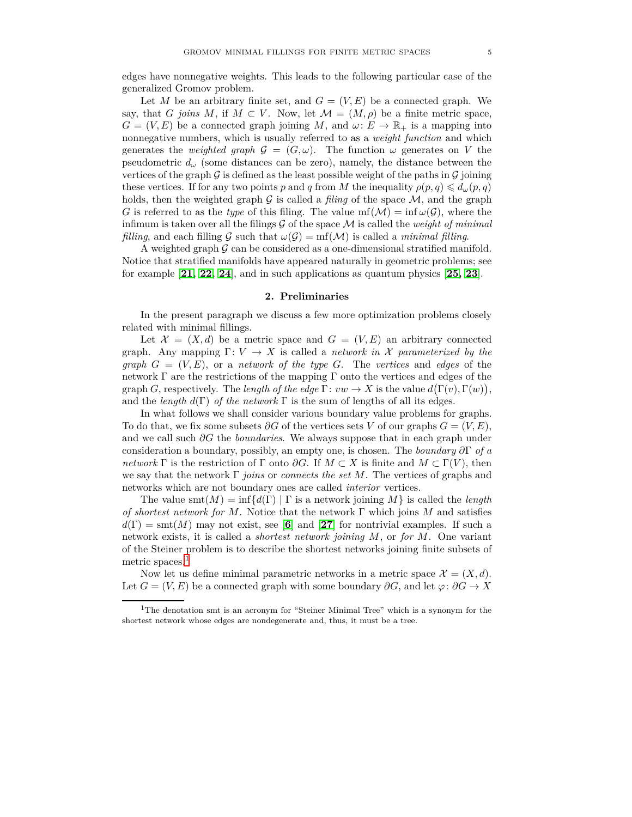edges have nonnegative weights. This leads to the following particular case of the generalized Gromov problem.

Let *M* be an arbitrary finite set, and  $G = (V, E)$  be a connected graph. We say, that *G joins M*, if  $M \subset V$ . Now, let  $\mathcal{M} = (M, \rho)$  be a finite metric space,  $G = (V, E)$  be a connected graph joining M, and  $\omega: E \to \mathbb{R}_+$  is a mapping into nonnegative numbers, which is usually referred to as a *weight function* and which generates the *weighted graph*  $G = (G, \omega)$ . The function  $\omega$  generates on V the pseudometric  $d_{\omega}$  (some distances can be zero), namely, the distance between the vertices of the graph  $G$  is defined as the least possible weight of the paths in  $G$  joining these vertices. If for any two points *p* and *q* from *M* the inequality  $\rho(p,q) \leq d_{\omega}(p,q)$ holds, then the weighted graph  $\mathcal G$  is called a *filing* of the space  $\mathcal M$ , and the graph *G* is referred to as the *type* of this filing. The value  $mf(M) = inf(\omega(G))$ , where the infimum is taken over all the filings  $\mathcal G$  of the space  $\mathcal M$  is called the *weight of minimal filling*, and each filling G such that  $\omega(G) = \text{mf}(\mathcal{M})$  is called a *minimal filling*.

A weighted graph  $G$  can be considered as a one-dimensional stratified manifold. Notice that stratified manifolds have appeared naturally in geometric problems; see for example [**[21,](#page-12-2) [22,](#page-12-3) [24](#page-12-4)**], and in such applications as quantum physics [**[25,](#page-12-5) [23](#page-12-6)**].

### **2. Preliminaries**

In the present paragraph we discuss a few more optimization problems closely related with minimal fillings.

Let  $\mathcal{X} = (X, d)$  be a metric space and  $G = (V, E)$  an arbitrary connected graph. Any mapping  $\Gamma: V \to X$  is called a *network in* X *parameterized by the graph*  $G = (V, E)$ , or a *network of the type G*. The *vertices* and *edges* of the network  $\Gamma$  are the restrictions of the mapping  $\Gamma$  onto the vertices and edges of the graph *G*, respectively. The *length of the edge*  $\Gamma: vw \to X$  is the value  $d(\Gamma(v), \Gamma(w)),$ and the *length*  $d(\Gamma)$  *of the network*  $\Gamma$  is the sum of lengths of all its edges.

In what follows we shall consider various boundary value problems for graphs. To do that, we fix some subsets  $\partial G$  of the vertices sets V of our graphs  $G = (V, E)$ , and we call such *∂G* the *boundaries*. We always suppose that in each graph under consideration a boundary, possibly, an empty one, is chosen. The *boundary ∂*Γ *of a network*  $\Gamma$  is the restriction of  $\Gamma$  onto  $\partial G$ . If  $M \subset X$  is finite and  $M \subset \Gamma(V)$ , then we say that the network Γ *joins* or *connects the set M*. The vertices of graphs and networks which are not boundary ones are called *interior* vertices.

The value  $\text{smt}(M) = \inf \{ d(\Gamma) \mid \Gamma \text{ is a network joining } M \}$  is called the *length of shortest network for M*. Notice that the network Γ which joins *M* and satisfies  $d(\Gamma) = \text{smt}(M)$  may not exist, see [[6](#page-11-5)] and [[27](#page-12-7)] for nontrivial examples. If such a network exists, it is called a *shortest network joining M*, or *for M*. One variant of the Steiner problem is to describe the shortest networks joining finite subsets of metric spaces.<sup>[1](#page-2-0)</sup>

Now let us define minimal parametric networks in a metric space  $\mathcal{X} = (X, d)$ . Let  $G = (V, E)$  be a connected graph with some boundary  $\partial G$ , and let  $\varphi: \partial G \to X$ 

<span id="page-2-0"></span><sup>1</sup>The denotation smt is an acronym for "Steiner Minimal Tree" which is a synonym for the shortest network whose edges are nondegenerate and, thus, it must be a tree.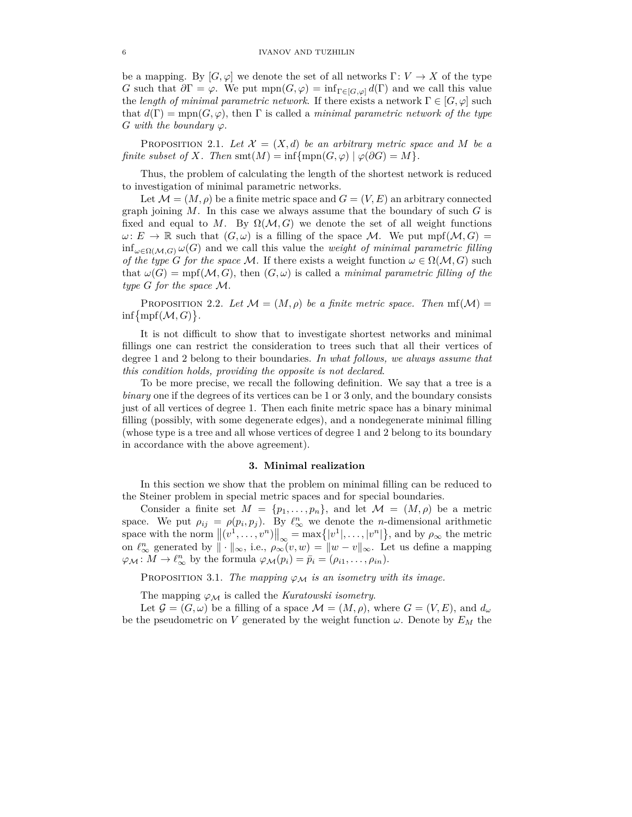be a mapping. By  $[G, \varphi]$  we denote the set of all networks  $\Gamma: V \to X$  of the type *G* such that  $\partial \Gamma = \varphi$ . We put  $\text{mpn}(G, \varphi) = \inf_{\Gamma \in [G, \varphi]} d(\Gamma)$  and we call this value the *length of minimal parametric network*. If there exists a network  $\Gamma \in [G, \varphi]$  such that  $d(\Gamma) = \text{mpn}(G, \varphi)$ , then  $\Gamma$  is called a *minimal parametric network of the type G* with the boundary  $\varphi$ .

PROPOSITION 2.1. Let  $\mathcal{X} = (X, d)$  be an arbitrary metric space and M be a *finite subset of X. Then*  $smt(M) = \inf \{mpn(G, \varphi) \mid \varphi(\partial G) = M\}$ *.* 

Thus, the problem of calculating the length of the shortest network is reduced to investigation of minimal parametric networks.

Let  $\mathcal{M} = (M, \rho)$  be a finite metric space and  $G = (V, E)$  an arbitrary connected graph joining *M*. In this case we always assume that the boundary of such *G* is fixed and equal to *M*. By  $\Omega(\mathcal{M}, G)$  we denote the set of all weight functions  $\omega: E \to \mathbb{R}$  such that  $(G, \omega)$  is a filling of the space M. We put mpf( $\mathcal{M}, G$ ) =  $\inf_{\omega \in \Omega(M,G)} \omega(G)$  and we call this value the *weight of minimal parametric filling of the type G for the space* M. If there exists a weight function  $\omega \in \Omega(M, G)$  such that  $\omega(G) = \text{mpf}(\mathcal{M}, G)$ , then  $(G, \omega)$  is called a *minimal parametric filling of the type G for the space* M.

PROPOSITION 2.2. Let  $\mathcal{M} = (M, \rho)$  be a finite metric space. Then  $mf(\mathcal{M}) =$  $\inf \{ \mathrm{mpf}(\mathcal{M}, G) \}.$ 

It is not difficult to show that to investigate shortest networks and minimal fillings one can restrict the consideration to trees such that all their vertices of degree 1 and 2 belong to their boundaries. *In what follows, we always assume that this condition holds, providing the opposite is not declared*.

To be more precise, we recall the following definition. We say that a tree is a *binary* one if the degrees of its vertices can be 1 or 3 only, and the boundary consists just of all vertices of degree 1. Then each finite metric space has a binary minimal filling (possibly, with some degenerate edges), and a nondegenerate minimal filling (whose type is a tree and all whose vertices of degree 1 and 2 belong to its boundary in accordance with the above agreement).

## **3. Minimal realization**

In this section we show that the problem on minimal filling can be reduced to the Steiner problem in special metric spaces and for special boundaries.

Consider a finite set  $M = \{p_1, \ldots, p_n\}$ , and let  $\mathcal{M} = (M, \rho)$  be a metric space. We put  $\rho_{ij} = \rho(p_i, p_j)$ . By  $\ell_{\infty}^n$  we denote the *n*-dimensional arithmetic space with the norm  $\|(v^1,\ldots,v^n)\|_{\infty} = \max\{|v^1|,\ldots,|v^n|\}$ , and by  $\rho_{\infty}$  the metric on  $\ell_{\infty}^{n}$  generated by  $\|\cdot\|_{\infty}$ , i.e.,  $\rho_{\infty}(v, w) = \|w - v\|_{\infty}$ . Let us define a mapping  $\varphi_{\mathcal{M}}: M \to \ell_{\infty}^n$  by the formula  $\varphi_{\mathcal{M}}(p_i) = \bar{p}_i = (\rho_{i1}, \ldots, \rho_{in}).$ 

PROPOSITION 3.1. *The mapping*  $\varphi_M$  *is an isometry with its image.* 

The mapping  $\varphi_{\mathcal{M}}$  is called the *Kuratowski isometry*.

Let  $\mathcal{G} = (G, \omega)$  be a filling of a space  $\mathcal{M} = (M, \rho)$ , where  $G = (V, E)$ , and  $d_{\omega}$ be the pseudometric on *V* generated by the weight function  $\omega$ . Denote by  $E_M$  the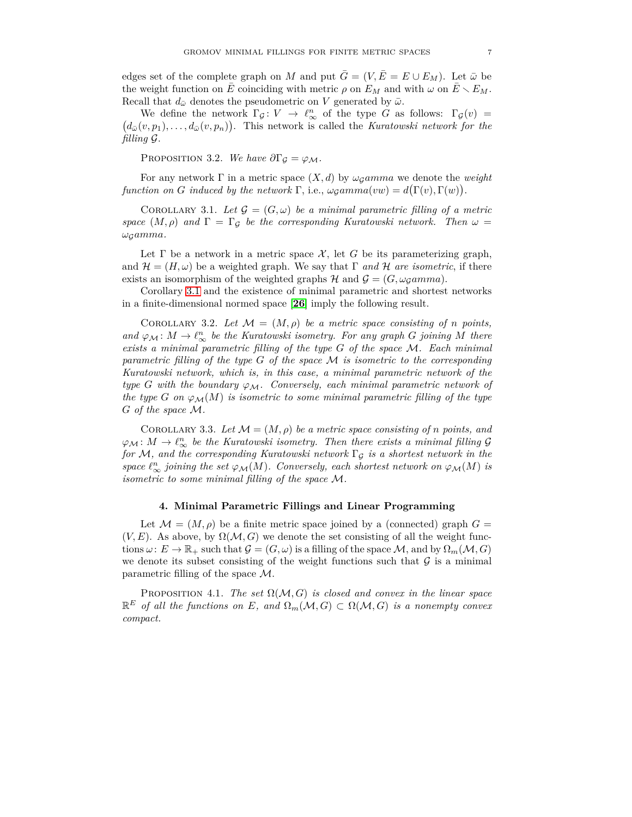edges set of the complete graph on *M* and put  $\overline{G} = (V, \overline{E} = E \cup E_M)$ . Let  $\overline{\omega}$  be the weight function on *E* coinciding with metric  $\rho$  on  $E_M$  and with  $\omega$  on  $E \setminus E_M$ . Recall that  $d_{\bar{\omega}}$  denotes the pseudometric on *V* generated by  $\bar{\omega}$ .

We define the network  $\Gamma_{\mathcal{G}}: V \to \ell_{\infty}^n$  of the type *G* as follows:  $\Gamma_{\mathcal{G}}(v) =$  $(d_{\bar{\omega}}(v, p_1), \ldots, d_{\bar{\omega}}(v, p_n))$ . This network is called the *Kuratowski network for the filling* G.

PROPOSITION 3.2. *We have*  $\partial \Gamma_{\mathcal{G}} = \varphi_{\mathcal{M}}$ .

For any network  $\Gamma$  in a metric space  $(X, d)$  by  $\omega_{\mathcal{G}}$ *amma* we denote the *weight function on G induced by the network*  $\Gamma$ , i.e.,  $\omega_{\mathcal{G}} \text{amma}(vw) = d(\Gamma(v), \Gamma(w)).$ 

<span id="page-4-0"></span>COROLLARY 3.1. Let  $\mathcal{G} = (G, \omega)$  be a minimal parametric filling of a metric *space*  $(M, \rho)$  *and*  $\Gamma = \Gamma_G$  *be the corresponding Kuratowski network. Then*  $\omega =$ *ω*G*amma.*

Let  $\Gamma$  be a network in a metric space  $\mathcal{X}$ , let *G* be its parameterizing graph, and  $\mathcal{H} = (H, \omega)$  be a weighted graph. We say that  $\Gamma$  *and*  $\mathcal{H}$  *are isometric*, if there exists an isomorphism of the weighted graphs  $\mathcal{H}$  and  $\mathcal{G} = (G, \omega_{\mathcal{G}}\text{}\text{ amma}).$ 

Corollary [3.1](#page-4-0) and the existence of minimal parametric and shortest networks in a finite-dimensional normed space [**[26](#page-12-8)**] imply the following result.

COROLLARY 3.2. Let  $M = (M, \rho)$  be a metric space consisting of *n* points, *and*  $\varphi_M : M \to \ell_{\infty}^n$  *be the Kuratowski isometry. For any graph G joining M there exists a minimal parametric filling of the type G of the space* M*. Each minimal parametric filling of the type G of the space* M *is isometric to the corresponding Kuratowski network, which is, in this case, a minimal parametric network of the type G* with the boundary  $\varphi_M$ . Conversely, each minimal parametric network of *the type G* on  $\varphi_{\mathcal{M}}(M)$  *is isometric to some minimal parametric filling of the type G of the space* M*.*

COROLLARY 3.3. Let  $\mathcal{M} = (M, \rho)$  be a metric space consisting of *n* points, and  $\varphi_M: M \to \ell_{\infty}^n$  be the Kuratowski isometry. Then there exists a minimal filling G *for* M*, and the corresponding Kuratowski network* Γ<sup>G</sup> *is a shortest network in the space*  $\ell_{\infty}^n$  *joining the set*  $\varphi_{\mathcal{M}}(M)$ *. Conversely, each shortest network on*  $\varphi_{\mathcal{M}}(M)$  *is isometric to some minimal filling of the space* M*.*

## **4. Minimal Parametric Fillings and Linear Programming**

Let  $\mathcal{M} = (M, \rho)$  be a finite metric space joined by a (connected) graph  $G =$  $(V, E)$ . As above, by  $\Omega(M, G)$  we denote the set consisting of all the weight functions  $\omega: E \to \mathbb{R}_+$  such that  $\mathcal{G} = (G, \omega)$  is a filling of the space M, and by  $\Omega_m(\mathcal{M}, G)$ we denote its subset consisting of the weight functions such that  $\mathcal G$  is a minimal parametric filling of the space  $\mathcal{M}$ .

<span id="page-4-1"></span>PROPOSITION 4.1. *The set*  $\Omega(M, G)$  *is closed and convex in the linear space*  $\mathbb{R}^E$  *of all the functions on E, and*  $\Omega_m(\mathcal{M}, G) \subset \Omega(\mathcal{M}, G)$  *is a nonempty convex compact.*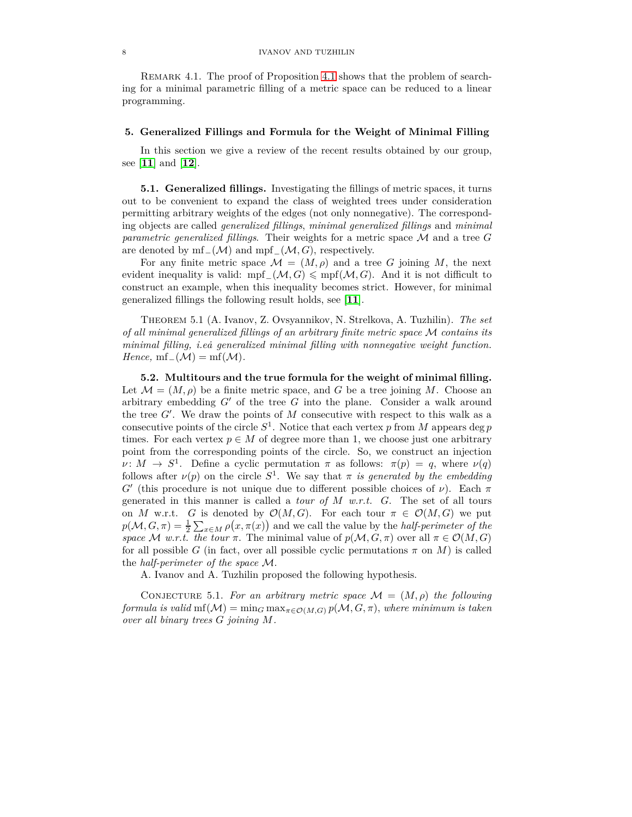REMARK [4.1](#page-4-1). The proof of Proposition 4.1 shows that the problem of searching for a minimal parametric filling of a metric space can be reduced to a linear programming.

#### **5. Generalized Fillings and Formula for the Weight of Minimal Filling**

In this section we give a review of the recent results obtained by our group, see [**[11](#page-11-14)**] and [**[12](#page-11-15)**].

**5.1. Generalized fillings.** Investigating the fillings of metric spaces, it turns out to be convenient to expand the class of weighted trees under consideration permitting arbitrary weights of the edges (not only nonnegative). The corresponding objects are called *generalized fillings*, *minimal generalized fillings* and *minimal parametric generalized fillings*. Their weights for a metric space M and a tree *G* are denoted by  $\mathrm{mf}_{-}(\mathcal{M})$  and  $\mathrm{mpf}_{-}(\mathcal{M}, G)$ , respectively.

For any finite metric space  $\mathcal{M} = (M, \rho)$  and a tree G joining M, the next evident inequality is valid: mpf<sub>−</sub>( $\mathcal{M}, G$ )  $\leq$  mpf( $\mathcal{M}, G$ ). And it is not difficult to construct an example, when this inequality becomes strict. However, for minimal generalized fillings the following result holds, see [**[11](#page-11-14)**].

Theorem 5.1 (A. Ivanov, Z. Ovsyannikov, N. Strelkova, A. Tuzhilin). *The set of all minimal generalized fillings of an arbitrary finite metric space* M *contains its minimal filling, i.e.i generalized minimal filling with nonnegative weight function. Hence,* mf<sub>−</sub>( $\mathcal{M}$ ) = mf( $\mathcal{M}$ ).

**5.2. Multitours and the true formula for the weight of minimal filling.** Let  $\mathcal{M} = (M, \rho)$  be a finite metric space, and G be a tree joining M. Choose an arbitrary embedding *G*′ of the tree *G* into the plane. Consider a walk around the tree *G*′ . We draw the points of *M* consecutive with respect to this walk as a consecutive points of the circle  $S^1$ . Notice that each vertex  $p$  from  $M$  appears deg  $p$ times. For each vertex  $p \in M$  of degree more than 1, we choose just one arbitrary point from the corresponding points of the circle. So, we construct an injection  $\nu: M \to S^1$ . Define a cyclic permutation  $\pi$  as follows:  $\pi(p) = q$ , where  $\nu(q)$ follows after  $\nu(p)$  on the circle  $S^1$ . We say that  $\pi$  *is generated by the embedding G*<sup> $\prime$ </sup> (this procedure is not unique due to different possible choices of *ν*). Each  $\pi$ generated in this manner is called a *tour of M w.r.t. G*. The set of all tours on *M* w.r.t. *G* is denoted by  $\mathcal{O}(M, G)$ . For each tour  $\pi \in \mathcal{O}(M, G)$  we put  $p(\mathcal{M}, G, \pi) = \frac{1}{2} \sum_{x \in M} \rho(x, \pi(x))$  and we call the value by the *half-perimeter of the space* M *w.r.t.* the tour  $\pi$ . The minimal value of  $p(\mathcal{M}, G, \pi)$  over all  $\pi \in \mathcal{O}(M, G)$ for all possible *G* (in fact, over all possible cyclic permutations  $\pi$  on *M*) is called the *half-perimeter of the space* M.

A. Ivanov and A. Tuzhilin proposed the following hypothesis.

<span id="page-5-0"></span>CONJECTURE 5.1. *For an arbitrary metric space*  $\mathcal{M} = (M, \rho)$  *the following formula is valid*  $mf(\mathcal{M}) = \min_G \max_{\pi \in \mathcal{O}(M, G)} p(\mathcal{M}, G, \pi)$ , where minimum is taken *over all binary trees G joining M.*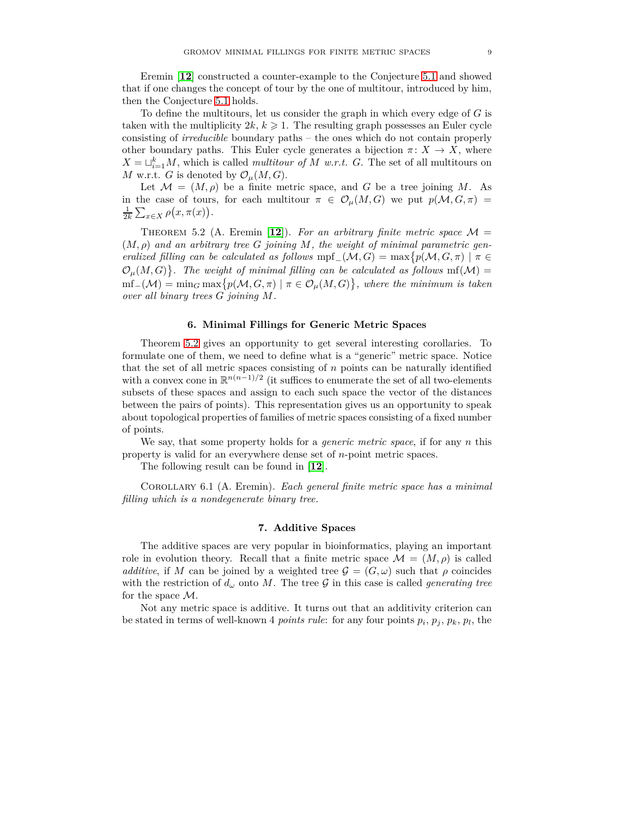Eremin [**[12](#page-11-15)**] constructed a counter-example to the Conjecture [5.1](#page-5-0) and showed that if one changes the concept of tour by the one of multitour, introduced by him, then the Conjecture [5.1](#page-5-0) holds.

To define the multitours, let us consider the graph in which every edge of *G* is taken with the multiplicity  $2k, k \geqslant 1$ . The resulting graph possesses an Euler cycle consisting of *irreducible* boundary paths – the ones which do not contain properly other boundary paths. This Euler cycle generates a bijection  $\pi: X \to X$ , where  $X = \bigcup_{i=1}^{k} M$ , which is called *multitour of M w.r.t. G*. The set of all multitours on *M* w.r.t. *G* is denoted by  $\mathcal{O}_{\mu}(M, G)$ .

Let  $\mathcal{M} = (M, \rho)$  be a finite metric space, and *G* be a tree joining *M*. As in the case of tours, for each multitour  $\pi \in \mathcal{O}_u(M, G)$  we put  $p(\mathcal{M}, G, \pi) =$  $\frac{1}{2k} \sum_{x \in X} \rho(x, \pi(x)).$ 

<span id="page-6-0"></span>THEOREM 5.2 (A. Eremin [[12](#page-11-15)]). For an arbitrary finite metric space  $\mathcal{M} =$  $(M, \rho)$  *and an arbitrary tree G joining M, the weight of minimal parametric generalized filling can be calculated as follows*  $mpf$ <sub>-</sub> $(\mathcal{M}, G)$  =  $max\{p(\mathcal{M}, G, \pi) \mid \pi \in$  $\mathcal{O}_{\mu}(M, G)$ . The weight of minimal filling can be calculated as follows  $\inf(\mathcal{M}) =$  $\text{mf}_{-}(\mathcal{M}) = \min_{G} \max \{p(\mathcal{M}, G, \pi) \mid \pi \in \mathcal{O}_{\mu}(M, G)\},\text{ where the minimum is taken}$ *over all binary trees G joining M.*

## **6. Minimal Fillings for Generic Metric Spaces**

Theorem [5.2](#page-6-0) gives an opportunity to get several interesting corollaries. To formulate one of them, we need to define what is a "generic" metric space. Notice that the set of all metric spaces consisting of *n* points can be naturally identified with a convex cone in  $\mathbb{R}^{n(n-1)/2}$  (it suffices to enumerate the set of all two-elements subsets of these spaces and assign to each such space the vector of the distances between the pairs of points). This representation gives us an opportunity to speak about topological properties of families of metric spaces consisting of a fixed number of points.

We say, that some property holds for a *generic metric space*, if for any *n* this property is valid for an everywhere dense set of *n*-point metric spaces.

The following result can be found in [**[12](#page-11-15)**].

Corollary 6.1 (A. Eremin). *Each general finite metric space has a minimal filling which is a nondegenerate binary tree.*

# **7. Additive Spaces**

The additive spaces are very popular in bioinformatics, playing an important role in evolution theory. Recall that a finite metric space  $\mathcal{M} = (M, \rho)$  is called *additive*, if *M* can be joined by a weighted tree  $\mathcal{G} = (G, \omega)$  such that *ρ* coincides with the restriction of  $d_{\omega}$  onto M. The tree G in this case is called *generating tree* for the space  $\mathcal{M}$ .

Not any metric space is additive. It turns out that an additivity criterion can be stated in terms of well-known 4 *points rule*: for any four points  $p_i$ ,  $p_j$ ,  $p_k$ ,  $p_l$ , the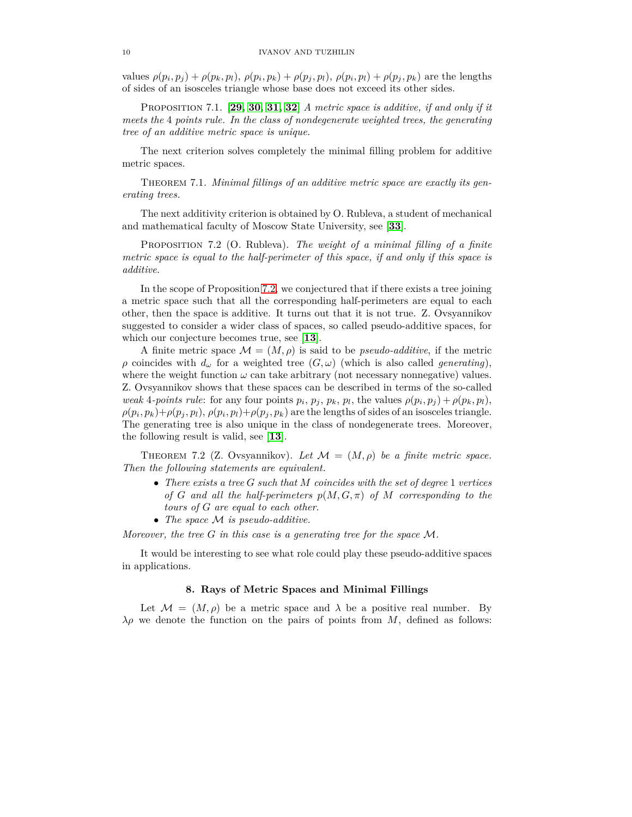values  $\rho(p_i, p_j) + \rho(p_k, p_l)$ ,  $\rho(p_i, p_k) + \rho(p_j, p_l)$ ,  $\rho(p_i, p_l) + \rho(p_j, p_k)$  are the lengths of sides of an isosceles triangle whose base does not exceed its other sides.

Proposition 7.1. [**[29,](#page-12-9) [30,](#page-12-10) [31,](#page-12-11) [32](#page-12-12)**] *A metric space is additive, if and only if it meets the* 4 *points rule. In the class of nondegenerate weighted trees, the generating tree of an additive metric space is unique.*

The next criterion solves completely the minimal filling problem for additive metric spaces.

<span id="page-7-1"></span>Theorem 7.1. *Minimal fillings of an additive metric space are exactly its generating trees.*

The next additivity criterion is obtained by O. Rubleva, a student of mechanical and mathematical faculty of Moscow State University, see [**[33](#page-12-13)**].

<span id="page-7-0"></span>Proposition 7.2 (O. Rubleva). *The weight of a minimal filling of a finite metric space is equal to the half-perimeter of this space, if and only if this space is additive.*

In the scope of Proposition [7.2,](#page-7-0) we conjectured that if there exists a tree joining a metric space such that all the corresponding half-perimeters are equal to each other, then the space is additive. It turns out that it is not true. Z. Ovsyannikov suggested to consider a wider class of spaces, so called pseudo-additive spaces, for which our conjecture becomes true, see [**[13](#page-11-16)**].

A finite metric space  $\mathcal{M} = (M, \rho)$  is said to be *pseudo-additive*, if the metric *ρ* coincides with  $d<sub>ω</sub>$  for a weighted tree  $(G, ω)$  (which is also called *generating*), where the weight function  $\omega$  can take arbitrary (not necessary nonnegative) values. Z. Ovsyannikov shows that these spaces can be described in terms of the so-called weak 4-points rule: for any four points  $p_i$ ,  $p_j$ ,  $p_k$ ,  $p_l$ , the values  $\rho(p_i, p_j) + \rho(p_k, p_l)$ ,  $\rho(p_i, p_k) + \rho(p_j, p_l), \rho(p_i, p_l) + \rho(p_j, p_k)$  are the lengths of sides of an isosceles triangle. The generating tree is also unique in the class of nondegenerate trees. Moreover, the following result is valid, see [**[13](#page-11-16)**].

THEOREM 7.2 (Z. Ovsyannikov). Let  $\mathcal{M} = (M, \rho)$  be a finite metric space. *Then the following statements are equivalent.*

- *There exists a tree G such that M coincides with the set of degree* 1 *vertices of G and all the half-perimeters*  $p(M, G, \pi)$  *of M corresponding to the tours of G are equal to each other.*
- *The space* M *is pseudo-additive.*

*Moreover, the tree G in this case is a generating tree for the space* M*.*

It would be interesting to see what role could play these pseudo-additive spaces in applications.

# **8. Rays of Metric Spaces and Minimal Fillings**

Let  $\mathcal{M} = (M, \rho)$  be a metric space and  $\lambda$  be a positive real number. By  $\lambda \rho$  we denote the function on the pairs of points from *M*, defined as follows: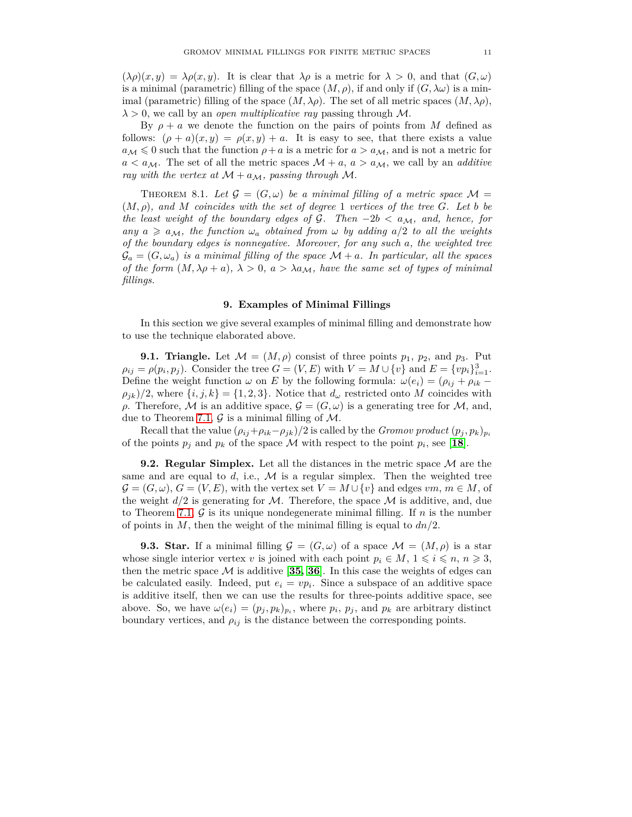$(\lambda \rho)(x, y) = \lambda \rho(x, y)$ . It is clear that  $\lambda \rho$  is a metric for  $\lambda > 0$ , and that  $(G, \omega)$ is a minimal (parametric) filling of the space  $(M, \rho)$ , if and only if  $(G, \lambda \omega)$  is a minimal (parametric) filling of the space  $(M, \lambda \rho)$ . The set of all metric spaces  $(M, \lambda \rho)$ ,  $\lambda > 0$ , we call by an *open multiplicative ray* passing through M.

By  $\rho + a$  we denote the function on the pairs of points from *M* defined as follows:  $(\rho + a)(x, y) = \rho(x, y) + a$ . It is easy to see, that there exists a value  $a_M \leq 0$  such that the function  $\rho + a$  is a metric for  $a > a_M$ , and is not a metric for  $a < a_{\mathcal{M}}$ . The set of all the metric spaces  $\mathcal{M} + a$ ,  $a > a_{\mathcal{M}}$ , we call by an *additive ray with the vertex at*  $\mathcal{M} + a_{\mathcal{M}}$ *, passing through*  $\mathcal{M}$ *.* 

THEOREM 8.1. Let  $\mathcal{G} = (G, \omega)$  be a minimal filling of a metric space  $\mathcal{M} =$  $(M, \rho)$ *, and*  $M$  *coincides with the set of degree* 1 *vertices of the tree*  $G$ *. Let*  $b$  *be the least weight of the boundary edges of*  $G$ *. Then*  $-2b < a_{\mathcal{M}}$ *, and, hence, for any*  $a \ge a_M$ , the function  $\omega_a$  obtained from  $\omega$  by adding  $a/2$  to all the weights *of the boundary edges is nonnegative. Moreover, for any such a, the weighted tree*  $\mathcal{G}_a = (G, \omega_a)$  *is a minimal filling of the space*  $\mathcal{M} + a$ *. In particular, all the spaces of the form*  $(M, \lambda \rho + a)$ ,  $\lambda > 0$ ,  $a > \lambda a_{\mathcal{M}}$ , have the same set of types of minimal *fillings.*

#### **9. Examples of Minimal Fillings**

In this section we give several examples of minimal filling and demonstrate how to use the technique elaborated above.

**9.1. Triangle.** Let  $\mathcal{M} = (M, \rho)$  consist of three points  $p_1$ ,  $p_2$ , and  $p_3$ . Put  $\rho_{ij} = \rho(p_i, p_j)$ . Consider the tree  $G = (V, E)$  with  $V = M \cup \{v\}$  and  $E = \{vp_i\}_{i=1}^3$ . Define the weight function  $\omega$  on *E* by the following formula:  $\omega(e_i) = (\rho_{ij} + \rho_{ik} - \rho_{ik})$  $\rho_{ik}$ )/2*,* where  $\{i, j, k\} = \{1, 2, 3\}$ . Notice that  $d_{\omega}$  restricted onto *M* coincides with *ρ*. Therefore, *M* is an additive space,  $G = (G, ω)$  is a generating tree for *M*, and, due to Theorem [7.1,](#page-7-1)  $\mathcal G$  is a minimal filling of  $\mathcal M$ .

Recall that the value  $(\rho_{ij} + \rho_{ik} - \rho_{jk})/2$  is called by the *Gromov product*  $(p_j, p_k)_{p_i}$ of the points  $p_j$  and  $p_k$  of the space  $\mathcal M$  with respect to the point  $p_i$ , see [[18](#page-11-17)].

**9.2. Regular Simplex.** Let all the distances in the metric space M are the same and are equal to  $d$ , i.e.,  $M$  is a regular simplex. Then the weighted tree  $\mathcal{G} = (G, \omega), G = (V, E),$  with the vertex set  $V = M \cup \{v\}$  and edges  $vm, m \in M$ , of the weight  $d/2$  is generating for M. Therefore, the space M is additive, and, due to Theorem [7.1,](#page-7-1)  $\mathcal G$  is its unique nondegenerate minimal filling. If  $n$  is the number of points in *M*, then the weight of the minimal filling is equal to *dn/*2.

**9.3. Star.** If a minimal filling  $\mathcal{G} = (G, \omega)$  of a space  $\mathcal{M} = (M, \rho)$  is a star whose single interior vertex *v* is joined with each point  $p_i \in M$ ,  $1 \leq i \leq n$ ,  $n \geq 3$ , then the metric space  $\mathcal M$  is additive [[35,](#page-12-14) [36](#page-12-15)]. In this case the weights of edges can be calculated easily. Indeed, put  $e_i = vp_i$ . Since a subspace of an additive space is additive itself, then we can use the results for three-points additive space, see above. So, we have  $\omega(e_i) = (p_j, p_k)_{p_i}$ , where  $p_i, p_j$ , and  $p_k$  are arbitrary distinct boundary vertices, and  $\rho_{ij}$  is the distance between the corresponding points.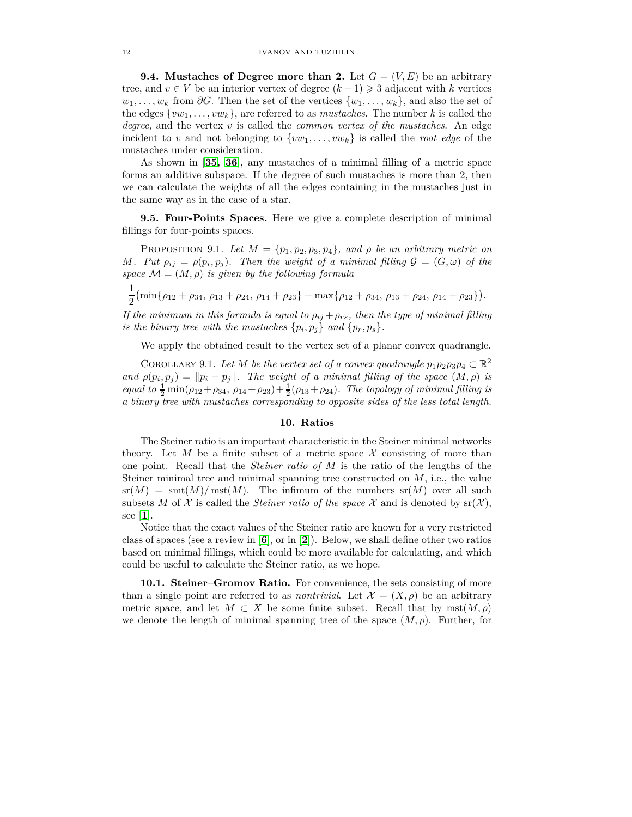**9.4.** Mustaches of Degree more than 2. Let  $G = (V, E)$  be an arbitrary tree, and  $v \in V$  be an interior vertex of degree  $(k+1) \geq 3$  adjacent with k vertices  $w_1, \ldots, w_k$  from  $\partial G$ . Then the set of the vertices  $\{w_1, \ldots, w_k\}$ , and also the set of the edges  $\{vw_1, \ldots, vw_k\}$ , are referred to as *mustaches*. The number *k* is called the *degree*, and the vertex *v* is called the *common vertex of the mustaches*. An edge incident to *v* and not belonging to  $\{vw_1, \ldots, vw_k\}$  is called the *root edge* of the mustaches under consideration.

As shown in [**[35,](#page-12-14) [36](#page-12-15)**], any mustaches of a minimal filling of a metric space forms an additive subspace. If the degree of such mustaches is more than 2, then we can calculate the weights of all the edges containing in the mustaches just in the same way as in the case of a star.

**9.5. Four-Points Spaces.** Here we give a complete description of minimal fillings for four-points spaces.

PROPOSITION 9.1. Let  $M = \{p_1, p_2, p_3, p_4\}$ , and  $\rho$  be an arbitrary metric on *M.* Put  $\rho_{ij} = \rho(p_i, p_j)$ *. Then the weight of a minimal filling*  $\mathcal{G} = (G, \omega)$  *of the space*  $\mathcal{M} = (M, \rho)$  *is given by the following formula* 

1  $\frac{1}{2}$ (min{ $\rho_{12} + \rho_{34}, \rho_{13} + \rho_{24}, \rho_{14} + \rho_{23}$ } + max{ $\rho_{12} + \rho_{34}, \rho_{13} + \rho_{24}, \rho_{14} + \rho_{23}$ }).

*If the minimum in this formula is equal to*  $\rho_{ij} + \rho_{rs}$ , then the type of minimal filling *is the binary tree with the mustaches*  $\{p_i, p_j\}$  *and*  $\{p_r, p_s\}$ *.* 

We apply the obtained result to the vertex set of a planar convex quadrangle.

COROLLARY 9.1. Let *M* be the vertex set of a convex quadrangle  $p_1p_2p_3p_4 \n\subset \mathbb{R}^2$ *and*  $\rho(p_i, p_j) = ||p_i - p_j||$ . The weight of a minimal filling of the space  $(M, \rho)$  is *equal to*  $\frac{1}{2}$  min( $\rho_{12} + \rho_{34}$ ,  $\rho_{14} + \rho_{23}$ ) +  $\frac{1}{2}(\rho_{13} + \rho_{24})$ *. The topology of minimal filling is a binary tree with mustaches corresponding to opposite sides of the less total length.*

#### **10. Ratios**

The Steiner ratio is an important characteristic in the Steiner minimal networks theory. Let *M* be a finite subset of a metric space  $\mathcal X$  consisting of more than one point. Recall that the *Steiner ratio of M* is the ratio of the lengths of the Steiner minimal tree and minimal spanning tree constructed on *M*, i.e., the value  $\operatorname{sr}(M) = \operatorname{smt}(M)/\operatorname{mst}(M)$ . The infimum of the numbers  $\operatorname{sr}(M)$  over all such subsets M of X is called the *Steiner ratio of the space* X and is denoted by  $\text{sr}(\mathcal{X})$ , see [**[1](#page-11-3)**].

Notice that the exact values of the Steiner ratio are known for a very restricted class of spaces (see a review in [**[6](#page-11-5)**], or in [**[2](#page-11-0)**]). Below, we shall define other two ratios based on minimal fillings, which could be more available for calculating, and which could be useful to calculate the Steiner ratio, as we hope.

**10.1. Steiner–Gromov Ratio.** For convenience, the sets consisting of more than a single point are referred to as *nontrivial*. Let  $\mathcal{X} = (X, \rho)$  be an arbitrary metric space, and let  $M \subset X$  be some finite subset. Recall that by  $mst(M,\rho)$ we denote the length of minimal spanning tree of the space  $(M, \rho)$ . Further, for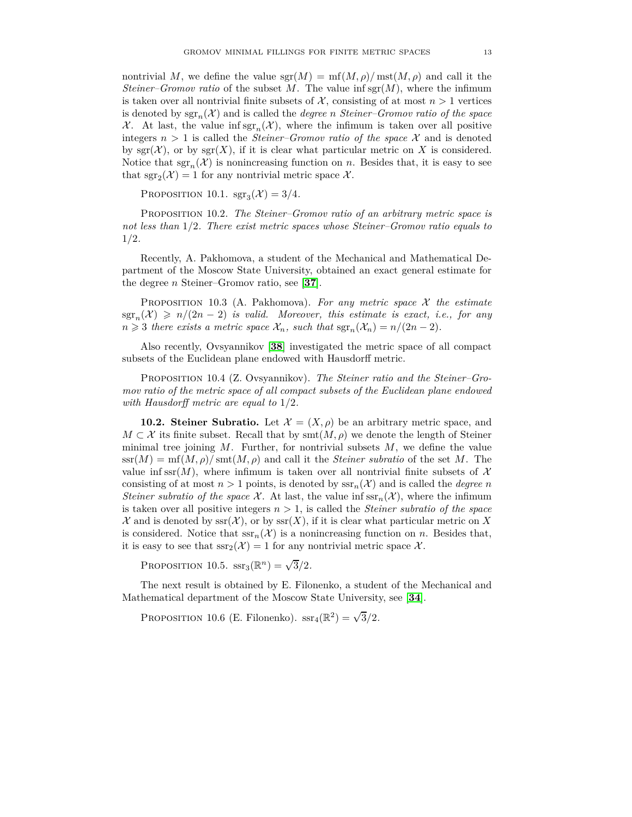nontrivial M, we define the value  $\text{sgr}(M) = \text{mf}(M, \rho)/\text{mst}(M, \rho)$  and call it the *Steiner–Gromov ratio* of the subset *M*. The value inf sgr $(M)$ , where the infimum is taken over all nontrivial finite subsets of  $\mathcal{X}$ , consisting of at most  $n > 1$  vertices is denoted by  $\text{sgr}_n(\mathcal{X})$  and is called the *degree n Steiner–Gromov ratio of the space* X. At last, the value inf  $\text{sgr}_n(\mathcal{X})$ , where the infimum is taken over all positive integers  $n > 1$  is called the *Steiner–Gromov ratio of the space*  $\mathcal X$  and is denoted by  $sgr(\mathcal{X})$ , or by  $sgr(X)$ , if it is clear what particular metric on X is considered. Notice that  $\text{sgr}_n(\mathcal{X})$  is nonincreasing function on *n*. Besides that, it is easy to see that  $\text{sgr}_2(\mathcal{X}) = 1$  for any nontrivial metric space  $\mathcal{X}$ .

PROPOSITION 10.1.  $\text{sgr}_3(\mathcal{X}) = 3/4$ .

Proposition 10.2. *The Steiner–Gromov ratio of an arbitrary metric space is not less than* 1*/*2*. There exist metric spaces whose Steiner–Gromov ratio equals to* 1*/*2*.*

Recently, A. Pakhomova, a student of the Mechanical and Mathematical Department of the Moscow State University, obtained an exact general estimate for the degree *n* Steiner–Gromov ratio, see [**[37](#page-12-16)**].

Proposition 10.3 (A. Pakhomova). *For any metric space* <sup>X</sup> *the estimate*  $sgr_n(\mathcal{X}) \geq n/(2n-2)$  *is valid. Moreover, this estimate is exact, i.e., for any*  $n \geq 3$  *there exists a metric space*  $\mathcal{X}_n$ *, such that*  $\text{sgr}_n(\mathcal{X}_n) = n/(2n-2)$ *.* 

Also recently, Ovsyannikov [**[38](#page-12-17)**] investigated the metric space of all compact subsets of the Euclidean plane endowed with Hausdorff metric.

Proposition 10.4 (Z. Ovsyannikov). *The Steiner ratio and the Steiner–Gromov ratio of the metric space of all compact subsets of the Euclidean plane endowed with Hausdorff metric are equal to* 1*/*2*.*

**10.2. Steiner Subratio.** Let  $\mathcal{X} = (X, \rho)$  be an arbitrary metric space, and  $M \subset \mathcal{X}$  its finite subset. Recall that by  $smf(M,\rho)$  we denote the length of Steiner minimal tree joining *M*. Further, for nontrivial subsets *M*, we define the value  $ssr(M) = \inf(M,\rho)/\text{smt}(M,\rho)$  and call it the *Steiner subratio* of the set M. The value inf ssr $(M)$ , where infimum is taken over all nontrivial finite subsets of X consisting of at most  $n > 1$  points, is denoted by  $s s r_n(\mathcal{X})$  and is called the *degree n Steiner subratio of the space* X. At last, the value inf  $ssr_n(\mathcal{X})$ , where the infimum is taken over all positive integers  $n > 1$ , is called the *Steiner subratio of the space*  $\mathcal X$  and is denoted by ssr( $\mathcal X$ ), or by ssr( $X$ ), if it is clear what particular metric on  $X$ is considered. Notice that  $s s n(\mathcal{X})$  is a nonincreasing function on *n*. Besides that, it is easy to see that  $\text{ssr}_2(\mathcal{X}) = 1$  for any nontrivial metric space X.

PROPOSITION 10.5.  $\text{ssr}_3(\mathbb{R}^n) = \sqrt{3}/2$ .

The next result is obtained by E. Filonenko, a student of the Mechanical and Mathematical department of the Moscow State University, see [**[34](#page-12-18)**].

PROPOSITION 10.6 (E. Filonenko).  $\text{ssr}_4(\mathbb{R}^2) = \sqrt{3}/2$ .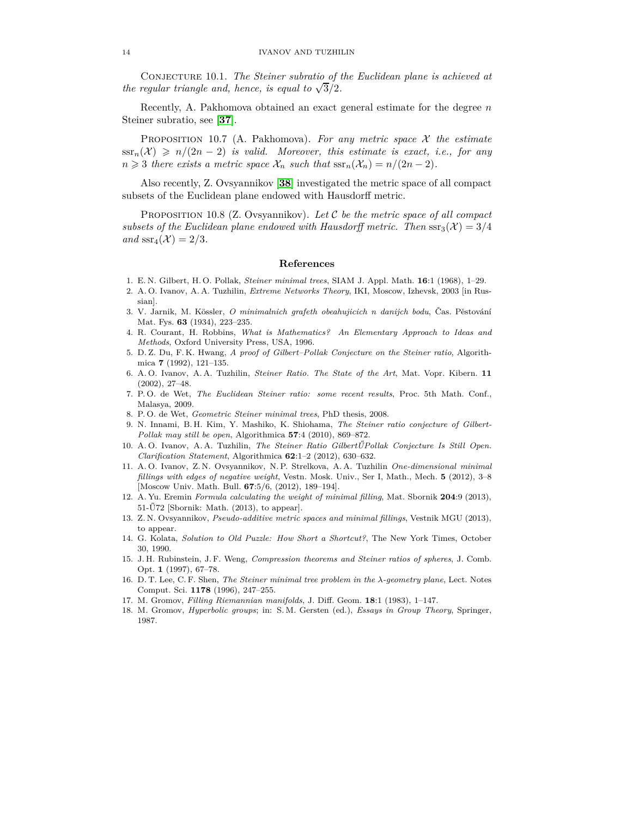Conjecture 10.1. *The Steiner subratio of the Euclidean plane is achieved at the regular triangle and, hence, is equal to*  $\sqrt{3}/2$ *.* 

Recently, A. Pakhomova obtained an exact general estimate for the degree *n* Steiner subratio, see [**[37](#page-12-16)**].

Proposition 10.7 (A. Pakhomova). *For any metric space* <sup>X</sup> *the estimate*  $ssr_n(\mathcal{X}) \geq n/(2n-2)$  *is valid. Moreover, this estimate is exact, i.e., for any*  $n \geq 3$  *there exists a metric space*  $\mathcal{X}_n$  *such that*  $ssr_n(\mathcal{X}_n) = n/(2n-2)$ *.* 

Also recently, Z. Ovsyannikov [**[38](#page-12-17)**] investigated the metric space of all compact subsets of the Euclidean plane endowed with Hausdorff metric.

Proposition 10.8 (Z. Ovsyannikov). *Let* <sup>C</sup> *be the metric space of all compact subsets of the Euclidean plane endowed with Hausdorff metric. Then*  $ssrs(\mathcal{X}) = 3/4$ *and*  $\text{ssr}_4(\mathcal{X}) = 2/3$ *.* 

#### **References**

- <span id="page-11-3"></span><span id="page-11-0"></span>1. E. N. Gilbert, H. O. Pollak, *Steiner minimal trees*, SIAM J. Appl. Math. **16**:1 (1968), 1–29.
- 2. A. O. Ivanov, A. A. Tuzhilin, *Extreme Networks Theory*, IKI, Moscow, Izhevsk, 2003 [in Russian].
- <span id="page-11-1"></span>3. V. Jarnik, M. Kössler, *O minimalnich grafeth obeahujicich n danijch bodu*, Čas. Pěstování Mat. Fys. **63** (1934), 223–235.
- <span id="page-11-4"></span><span id="page-11-2"></span>4. R. Courant, H. Robbins, *What is Mathematics? An Elementary Approach to Ideas and Methods*, Oxford University Press, USA, 1996.
- 5. D. Z. Du, F. K. Hwang, *A proof of Gilbert–Pollak Conjecture on the Steiner ratio*, Algorithmica **7** (1992), 121–135.
- <span id="page-11-5"></span>6. A. O. Ivanov, A. A. Tuzhilin, *Steiner Ratio. The State of the Art*, Mat. Vopr. Kibern. **11** (2002), 27–48.
- <span id="page-11-6"></span>7. P. O. de Wet, *The Euclidean Steiner ratio: some recent results*, Proc. 5th Math. Conf., Malasya, 2009.
- <span id="page-11-8"></span><span id="page-11-7"></span>8. P. O. de Wet, *Geometric Steiner minimal trees*, PhD thesis, 2008.
- 9. N. Innami, B. H. Kim, Y. Mashiko, K. Shiohama, *The Steiner ratio conjecture of Gilbert-Pollak may still be open*, Algorithmica **57**:4 (2010), 869–872.
- <span id="page-11-9"></span>10. A. O. Ivanov, A. A. Tuzhilin, *The Steiner Ratio GilbertŰPollak Conjecture Is Still Open. Clarification Statement*, Algorithmica **62**:1–2 (2012), 630–632.
- <span id="page-11-14"></span>11. A. O. Ivanov, Z. N. Ovsyannikov, N. P. Strelkova, A. A. Tuzhilin *One-dimensional minimal fillings with edges of negative weight*, Vestn. Mosk. Univ., Ser I, Math., Mech. **5** (2012), 3–8 [Moscow Univ. Math. Bull. **67**:5/6, (2012), 189–194].
- <span id="page-11-15"></span>12. A. Yu. Eremin *Formula calculating the weight of minimal filling*, Mat. Sbornik **204**:9 (2013),  $51-\overset{\circ}{U}72$  [Sbornik: Math. (2013), to appear].
- <span id="page-11-16"></span>13. Z. N. Ovsyannikov, *Pseudo-additive metric spaces and minimal fillings*, Vestnik MGU (2013), to appear.
- <span id="page-11-10"></span>14. G. Kolata, *Solution to Old Puzzle: How Short a Shortcut?*, The New York Times, October 30, 1990.
- <span id="page-11-11"></span>15. J. H. Rubinstein, J. F. Weng, *Compression theorems and Steiner ratios of spheres*, J. Comb. Opt. **1** (1997), 67–78.
- <span id="page-11-12"></span>16. D. T. Lee, C. F. Shen, *The Steiner minimal tree problem in the λ-geometry plane*, Lect. Notes Comput. Sci. **1178** (1996), 247–255.
- <span id="page-11-17"></span><span id="page-11-13"></span>17. M. Gromov, *Filling Riemannian manifolds*, J. Diff. Geom. **18**:1 (1983), 1–147.
- 18. M. Gromov, *Hyperbolic groups*; in: S. M. Gersten (ed.), *Essays in Group Theory*, Springer, 1987.